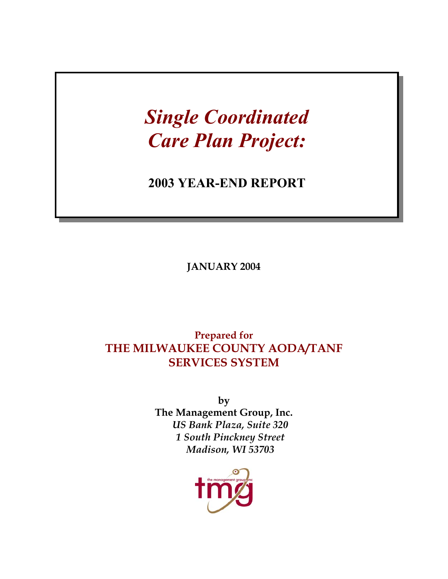# *Single Coordinated Care Plan Project:*

# **2003 YEAR-END REPORT**

**JANUARY 2004** 

# **Prepared for THE MILWAUKEE COUNTY AODA/TANF SERVICES SYSTEM**

**by The Management Group, Inc.**  *US Bank Plaza, Suite 320 1 South Pinckney Street Madison, WI 53703* 

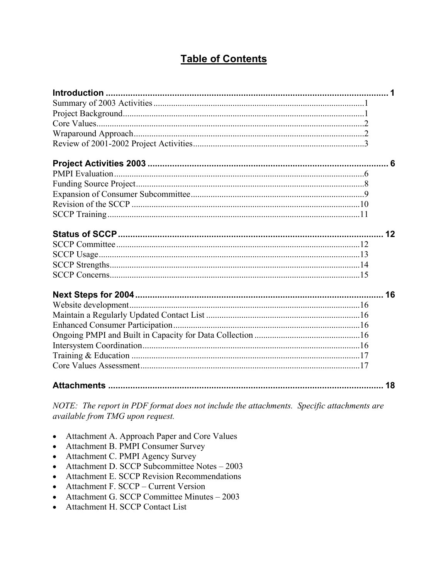# **Table of Contents**

| 16 |
|----|
|    |
|    |
|    |
|    |
|    |
|    |
|    |
| 18 |

NOTE: The report in PDF format does not include the attachments. Specific attachments are available from TMG upon request.

- Attachment A. Approach Paper and Core Values
- Attachment B. PMPI Consumer Survey
- Attachment C. PMPI Agency Survey
- Attachment D. SCCP Subcommittee Notes 2003
- Attachment E. SCCP Revision Recommendations
- Attachment F. SCCP Current Version
- Attachment G. SCCP Committee Minutes 2003
- Attachment H. SCCP Contact List  $\bullet$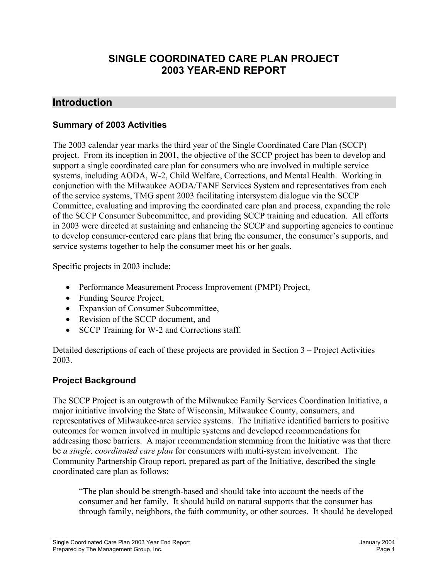# **SINGLE COORDINATED CARE PLAN PROJECT 2003 YEAR-END REPORT**

# **Introduction**

#### **Summary of 2003 Activities**

The 2003 calendar year marks the third year of the Single Coordinated Care Plan (SCCP) project. From its inception in 2001, the objective of the SCCP project has been to develop and support a single coordinated care plan for consumers who are involved in multiple service systems, including AODA, W-2, Child Welfare, Corrections, and Mental Health. Working in conjunction with the Milwaukee AODA/TANF Services System and representatives from each of the service systems, TMG spent 2003 facilitating intersystem dialogue via the SCCP Committee, evaluating and improving the coordinated care plan and process, expanding the role of the SCCP Consumer Subcommittee, and providing SCCP training and education. All efforts in 2003 were directed at sustaining and enhancing the SCCP and supporting agencies to continue to develop consumer-centered care plans that bring the consumer, the consumer's supports, and service systems together to help the consumer meet his or her goals.

Specific projects in 2003 include:

- Performance Measurement Process Improvement (PMPI) Project,
- Funding Source Project,
- Expansion of Consumer Subcommittee,
- Revision of the SCCP document, and
- SCCP Training for W-2 and Corrections staff.

Detailed descriptions of each of these projects are provided in Section 3 – Project Activities 2003.

# **Project Background**

The SCCP Project is an outgrowth of the Milwaukee Family Services Coordination Initiative, a major initiative involving the State of Wisconsin, Milwaukee County, consumers, and representatives of Milwaukee-area service systems. The Initiative identified barriers to positive outcomes for women involved in multiple systems and developed recommendations for addressing those barriers. A major recommendation stemming from the Initiative was that there be *a single, coordinated care plan* for consumers with multi-system involvement. The Community Partnership Group report, prepared as part of the Initiative, described the single coordinated care plan as follows:

"The plan should be strength-based and should take into account the needs of the consumer and her family. It should build on natural supports that the consumer has through family, neighbors, the faith community, or other sources. It should be developed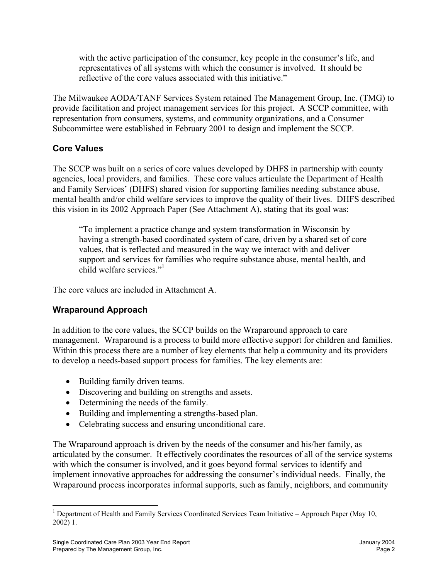with the active participation of the consumer, key people in the consumer's life, and representatives of all systems with which the consumer is involved. It should be reflective of the core values associated with this initiative."

The Milwaukee AODA/TANF Services System retained The Management Group, Inc. (TMG) to provide facilitation and project management services for this project. A SCCP committee, with representation from consumers, systems, and community organizations, and a Consumer Subcommittee were established in February 2001 to design and implement the SCCP.

# **Core Values**

The SCCP was built on a series of core values developed by DHFS in partnership with county agencies, local providers, and families. These core values articulate the Department of Health and Family Services' (DHFS) shared vision for supporting families needing substance abuse, mental health and/or child welfare services to improve the quality of their lives. DHFS described this vision in its 2002 Approach Paper (See Attachment A), stating that its goal was:

"To implement a practice change and system transformation in Wisconsin by having a strength-based coordinated system of care, driven by a shared set of core values, that is reflected and measured in the way we interact with and deliver support and services for families who require substance abuse, mental health, and child welfare services.["1](#page-3-0)

The core values are included in Attachment A.

# **Wraparound Approach**

In addition to the core values, the SCCP builds on the Wraparound approach to care management. Wraparound is a process to build more effective support for children and families. Within this process there are a number of key elements that help a community and its providers to develop a needs-based support process for families. The key elements are:

- Building family driven teams.
- Discovering and building on strengths and assets.
- Determining the needs of the family.
- Building and implementing a strengths-based plan.
- Celebrating success and ensuring unconditional care.

The Wraparound approach is driven by the needs of the consumer and his/her family, as articulated by the consumer. It effectively coordinates the resources of all of the service systems with which the consumer is involved, and it goes beyond formal services to identify and implement innovative approaches for addressing the consumer's individual needs. Finally, the Wraparound process incorporates informal supports, such as family, neighbors, and community

 $\overline{a}$ 

<span id="page-3-0"></span><sup>&</sup>lt;sup>1</sup> Department of Health and Family Services Coordinated Services Team Initiative – Approach Paper (May 10, 2002) 1.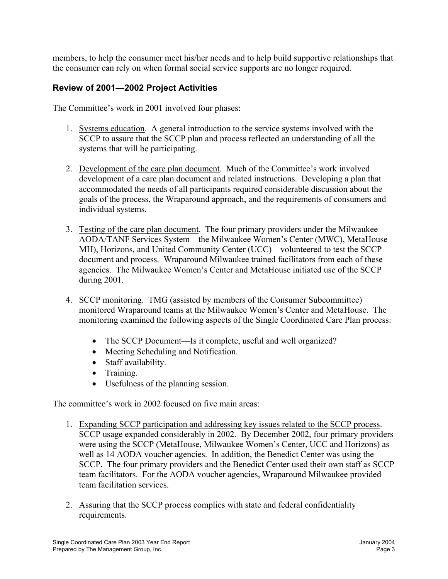members, to help the consumer meet his/her needs and to help build supportive relationships that the consumer can rely on when formal social service supports are no longer required.

# **Review of 2001—2002 Project Activities**

The Committee's work in 2001 involved four phases:

- 1. Systems education. A general introduction to the service systems involved with the SCCP to assure that the SCCP plan and process reflected an understanding of all the systems that will be participating.
- 2. Development of the care plan document. Much of the Committee's work involved development of a care plan document and related instructions. Developing a plan that accommodated the needs of all participants required considerable discussion about the goals of the process, the Wraparound approach, and the requirements of consumers and individual systems.
- 3. Testing of the care plan document. The four primary providers under the Milwaukee AODA/TANF Services System—the Milwaukee Women's Center (MWC), MetaHouse MH), Horizons, and United Community Center (UCC)—volunteered to test the SCCP document and process. Wraparound Milwaukee trained facilitators from each of these agencies. The Milwaukee Women's Center and MetaHouse initiated use of the SCCP during 2001.
- 4. SCCP monitoring. TMG (assisted by members of the Consumer Subcommittee) monitored Wraparound teams at the Milwaukee Women's Center and MetaHouse. The monitoring examined the following aspects of the Single Coordinated Care Plan process:
	- The SCCP Document—Is it complete, useful and well organized?
	- Meeting Scheduling and Notification.
	- Staff availability.
	- Training.
	- Usefulness of the planning session.

The committee's work in 2002 focused on five main areas:

- 1. Expanding SCCP participation and addressing key issues related to the SCCP process. SCCP usage expanded considerably in 2002. By December 2002, four primary providers were using the SCCP (MetaHouse, Milwaukee Women's Center, UCC and Horizons) as well as 14 AODA voucher agencies. In addition, the Benedict Center was using the SCCP. The four primary providers and the Benedict Center used their own staff as SCCP team facilitators. For the AODA voucher agencies, Wraparound Milwaukee provided team facilitation services.
- 2. Assuring that the SCCP process complies with state and federal confidentiality requirements.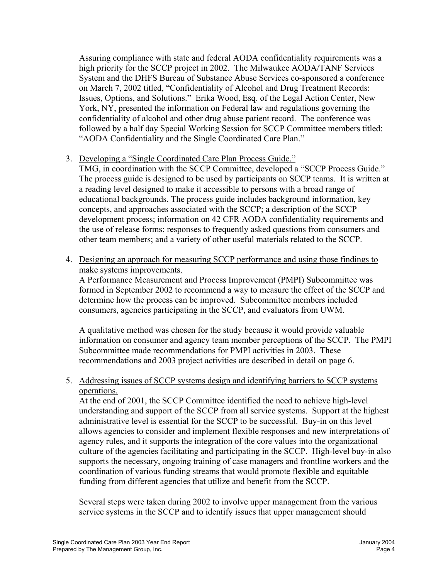Assuring compliance with state and federal AODA confidentiality requirements was a high priority for the SCCP project in 2002. The Milwaukee AODA/TANF Services System and the DHFS Bureau of Substance Abuse Services co-sponsored a conference on March 7, 2002 titled, "Confidentiality of Alcohol and Drug Treatment Records: Issues, Options, and Solutions." Erika Wood, Esq. of the Legal Action Center, New York, NY, presented the information on Federal law and regulations governing the confidentiality of alcohol and other drug abuse patient record. The conference was followed by a half day Special Working Session for SCCP Committee members titled: "AODA Confidentiality and the Single Coordinated Care Plan."

3. Developing a "Single Coordinated Care Plan Process Guide."

TMG, in coordination with the SCCP Committee, developed a "SCCP Process Guide." The process guide is designed to be used by participants on SCCP teams. It is written at a reading level designed to make it accessible to persons with a broad range of educational backgrounds. The process guide includes background information, key concepts, and approaches associated with the SCCP; a description of the SCCP development process; information on 42 CFR AODA confidentiality requirements and the use of release forms; responses to frequently asked questions from consumers and other team members; and a variety of other useful materials related to the SCCP.

4. Designing an approach for measuring SCCP performance and using those findings to make systems improvements.

A Performance Measurement and Process Improvement (PMPI) Subcommittee was formed in September 2002 to recommend a way to measure the effect of the SCCP and determine how the process can be improved. Subcommittee members included consumers, agencies participating in the SCCP, and evaluators from UWM.

A qualitative method was chosen for the study because it would provide valuable information on consumer and agency team member perceptions of the SCCP. The PMPI Subcommittee made recommendations for PMPI activities in 2003. These recommendations and 2003 project activities are described in detail on page 6.

5. Addressing issues of SCCP systems design and identifying barriers to SCCP systems operations.

At the end of 2001, the SCCP Committee identified the need to achieve high-level understanding and support of the SCCP from all service systems. Support at the highest administrative level is essential for the SCCP to be successful. Buy-in on this level allows agencies to consider and implement flexible responses and new interpretations of agency rules, and it supports the integration of the core values into the organizational culture of the agencies facilitating and participating in the SCCP. High-level buy-in also supports the necessary, ongoing training of case managers and frontline workers and the coordination of various funding streams that would promote flexible and equitable funding from different agencies that utilize and benefit from the SCCP.

Several steps were taken during 2002 to involve upper management from the various service systems in the SCCP and to identify issues that upper management should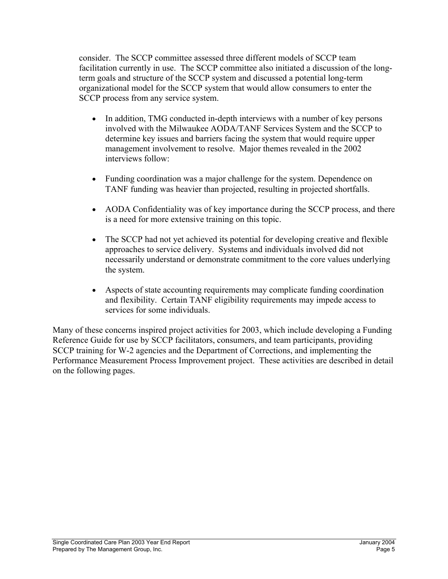consider. The SCCP committee assessed three different models of SCCP team facilitation currently in use. The SCCP committee also initiated a discussion of the longterm goals and structure of the SCCP system and discussed a potential long-term organizational model for the SCCP system that would allow consumers to enter the SCCP process from any service system.

- In addition, TMG conducted in-depth interviews with a number of key persons involved with the Milwaukee AODA/TANF Services System and the SCCP to determine key issues and barriers facing the system that would require upper management involvement to resolve. Major themes revealed in the 2002 interviews follow:
- Funding coordination was a major challenge for the system. Dependence on TANF funding was heavier than projected, resulting in projected shortfalls.
- AODA Confidentiality was of key importance during the SCCP process, and there is a need for more extensive training on this topic.
- The SCCP had not yet achieved its potential for developing creative and flexible approaches to service delivery. Systems and individuals involved did not necessarily understand or demonstrate commitment to the core values underlying the system.
- Aspects of state accounting requirements may complicate funding coordination and flexibility. Certain TANF eligibility requirements may impede access to services for some individuals.

Many of these concerns inspired project activities for 2003, which include developing a Funding Reference Guide for use by SCCP facilitators, consumers, and team participants, providing SCCP training for W-2 agencies and the Department of Corrections, and implementing the Performance Measurement Process Improvement project. These activities are described in detail on the following pages.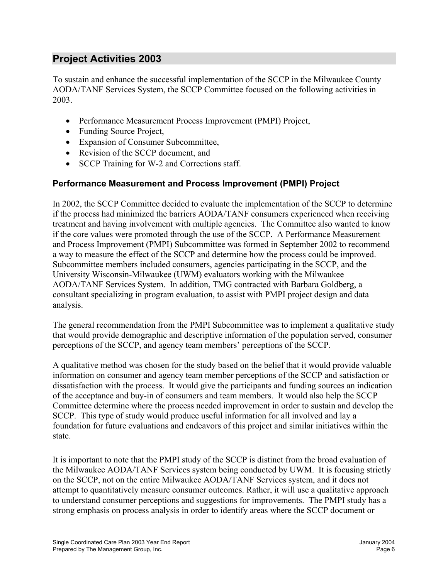# **Project Activities 2003**

To sustain and enhance the successful implementation of the SCCP in the Milwaukee County AODA/TANF Services System, the SCCP Committee focused on the following activities in 2003.

- Performance Measurement Process Improvement (PMPI) Project,
- Funding Source Project,
- Expansion of Consumer Subcommittee,
- Revision of the SCCP document, and
- SCCP Training for W-2 and Corrections staff.

# **Performance Measurement and Process Improvement (PMPI) Project**

In 2002, the SCCP Committee decided to evaluate the implementation of the SCCP to determine if the process had minimized the barriers AODA/TANF consumers experienced when receiving treatment and having involvement with multiple agencies. The Committee also wanted to know if the core values were promoted through the use of the SCCP. A Performance Measurement and Process Improvement (PMPI) Subcommittee was formed in September 2002 to recommend a way to measure the effect of the SCCP and determine how the process could be improved. Subcommittee members included consumers, agencies participating in the SCCP, and the University Wisconsin-Milwaukee (UWM) evaluators working with the Milwaukee AODA/TANF Services System. In addition, TMG contracted with Barbara Goldberg, a consultant specializing in program evaluation, to assist with PMPI project design and data analysis.

The general recommendation from the PMPI Subcommittee was to implement a qualitative study that would provide demographic and descriptive information of the population served, consumer perceptions of the SCCP, and agency team members' perceptions of the SCCP.

A qualitative method was chosen for the study based on the belief that it would provide valuable information on consumer and agency team member perceptions of the SCCP and satisfaction or dissatisfaction with the process. It would give the participants and funding sources an indication of the acceptance and buy-in of consumers and team members. It would also help the SCCP Committee determine where the process needed improvement in order to sustain and develop the SCCP. This type of study would produce useful information for all involved and lay a foundation for future evaluations and endeavors of this project and similar initiatives within the state.

It is important to note that the PMPI study of the SCCP is distinct from the broad evaluation of the Milwaukee AODA/TANF Services system being conducted by UWM. It is focusing strictly on the SCCP, not on the entire Milwaukee AODA/TANF Services system, and it does not attempt to quantitatively measure consumer outcomes. Rather, it will use a qualitative approach to understand consumer perceptions and suggestions for improvements. The PMPI study has a strong emphasis on process analysis in order to identify areas where the SCCP document or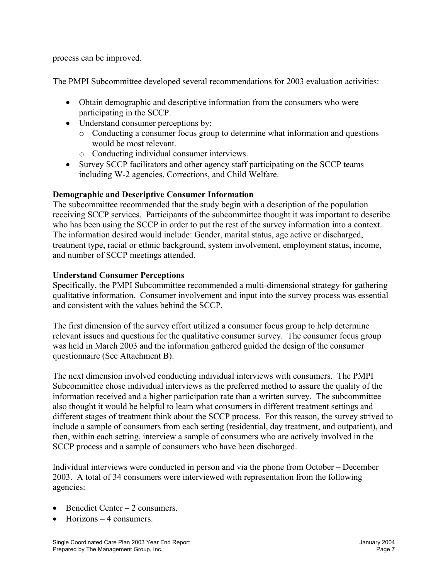process can be improved.

The PMPI Subcommittee developed several recommendations for 2003 evaluation activities:

- Obtain demographic and descriptive information from the consumers who were participating in the SCCP.
- Understand consumer perceptions by:
	- o Conducting a consumer focus group to determine what information and questions would be most relevant.
	- o Conducting individual consumer interviews.
- Survey SCCP facilitators and other agency staff participating on the SCCP teams including W-2 agencies, Corrections, and Child Welfare.

#### **Demographic and Descriptive Consumer Information**

The subcommittee recommended that the study begin with a description of the population receiving SCCP services. Participants of the subcommittee thought it was important to describe who has been using the SCCP in order to put the rest of the survey information into a context. The information desired would include: Gender, marital status, age active or discharged, treatment type, racial or ethnic background, system involvement, employment status, income, and number of SCCP meetings attended.

#### **Understand Consumer Perceptions**

Specifically, the PMPI Subcommittee recommended a multi-dimensional strategy for gathering qualitative information. Consumer involvement and input into the survey process was essential and consistent with the values behind the SCCP.

The first dimension of the survey effort utilized a consumer focus group to help determine relevant issues and questions for the qualitative consumer survey. The consumer focus group was held in March 2003 and the information gathered guided the design of the consumer questionnaire (See Attachment B).

The next dimension involved conducting individual interviews with consumers. The PMPI Subcommittee chose individual interviews as the preferred method to assure the quality of the information received and a higher participation rate than a written survey. The subcommittee also thought it would be helpful to learn what consumers in different treatment settings and different stages of treatment think about the SCCP process. For this reason, the survey strived to include a sample of consumers from each setting (residential, day treatment, and outpatient), and then, within each setting, interview a sample of consumers who are actively involved in the SCCP process and a sample of consumers who have been discharged.

Individual interviews were conducted in person and via the phone from October – December 2003. A total of 34 consumers were interviewed with representation from the following agencies:

- Benedict Center 2 consumers.
- $Horizons 4 \text{ consumers}.$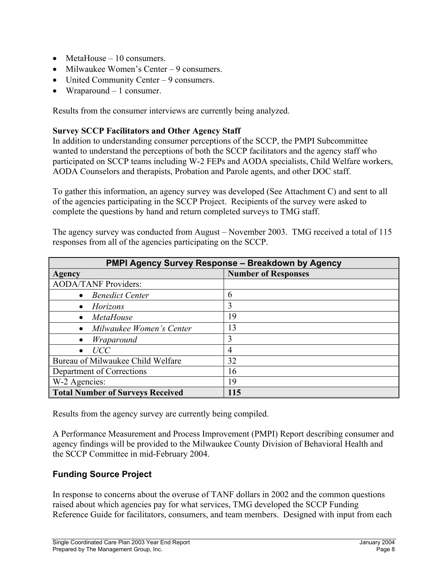- MetaHouse 10 consumers.
- Milwaukee Women's Center 9 consumers.
- United Community Center 9 consumers.
- Wraparound 1 consumer.

Results from the consumer interviews are currently being analyzed.

#### **Survey SCCP Facilitators and Other Agency Staff**

In addition to understanding consumer perceptions of the SCCP, the PMPI Subcommittee wanted to understand the perceptions of both the SCCP facilitators and the agency staff who participated on SCCP teams including W-2 FEPs and AODA specialists, Child Welfare workers, AODA Counselors and therapists, Probation and Parole agents, and other DOC staff.

To gather this information, an agency survey was developed (See Attachment C) and sent to all of the agencies participating in the SCCP Project. Recipients of the survey were asked to complete the questions by hand and return completed surveys to TMG staff.

The agency survey was conducted from August – November 2003. TMG received a total of 115 responses from all of the agencies participating on the SCCP.

| <b>PMPI Agency Survey Response - Breakdown by Agency</b> |                            |  |
|----------------------------------------------------------|----------------------------|--|
| Agency                                                   | <b>Number of Responses</b> |  |
| <b>AODA/TANF Providers:</b>                              |                            |  |
| <b>Benedict Center</b><br>$\bullet$                      | 6                          |  |
| Horizons                                                 | 3                          |  |
| <i>MetaHouse</i>                                         | 19                         |  |
| Milwaukee Women's Center                                 | 13                         |  |
| Wraparound                                               | 3                          |  |
| UCC                                                      | $\overline{4}$             |  |
| Bureau of Milwaukee Child Welfare                        | 32                         |  |
| Department of Corrections                                | 16                         |  |
| W-2 Agencies:                                            | 19                         |  |
| <b>Total Number of Surveys Received</b>                  | 115                        |  |

Results from the agency survey are currently being compiled.

A Performance Measurement and Process Improvement (PMPI) Report describing consumer and agency findings will be provided to the Milwaukee County Division of Behavioral Health and the SCCP Committee in mid-February 2004.

#### **Funding Source Project**

In response to concerns about the overuse of TANF dollars in 2002 and the common questions raised about which agencies pay for what services, TMG developed the SCCP Funding Reference Guide for facilitators, consumers, and team members. Designed with input from each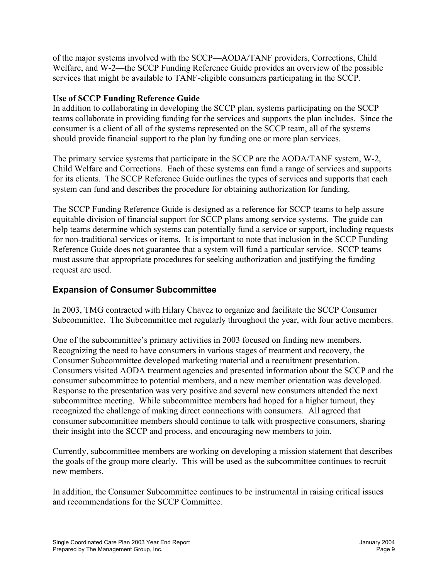of the major systems involved with the SCCP—AODA/TANF providers, Corrections, Child Welfare, and W-2—the SCCP Funding Reference Guide provides an overview of the possible services that might be available to TANF-eligible consumers participating in the SCCP.

# **Use of SCCP Funding Reference Guide**

In addition to collaborating in developing the SCCP plan, systems participating on the SCCP teams collaborate in providing funding for the services and supports the plan includes. Since the consumer is a client of all of the systems represented on the SCCP team, all of the systems should provide financial support to the plan by funding one or more plan services.

The primary service systems that participate in the SCCP are the AODA/TANF system, W-2, Child Welfare and Corrections. Each of these systems can fund a range of services and supports for its clients. The SCCP Reference Guide outlines the types of services and supports that each system can fund and describes the procedure for obtaining authorization for funding.

The SCCP Funding Reference Guide is designed as a reference for SCCP teams to help assure equitable division of financial support for SCCP plans among service systems. The guide can help teams determine which systems can potentially fund a service or support, including requests for non-traditional services or items. It is important to note that inclusion in the SCCP Funding Reference Guide does not guarantee that a system will fund a particular service. SCCP teams must assure that appropriate procedures for seeking authorization and justifying the funding request are used.

# **Expansion of Consumer Subcommittee**

In 2003, TMG contracted with Hilary Chavez to organize and facilitate the SCCP Consumer Subcommittee. The Subcommittee met regularly throughout the year, with four active members.

One of the subcommittee's primary activities in 2003 focused on finding new members. Recognizing the need to have consumers in various stages of treatment and recovery, the Consumer Subcommittee developed marketing material and a recruitment presentation. Consumers visited AODA treatment agencies and presented information about the SCCP and the consumer subcommittee to potential members, and a new member orientation was developed. Response to the presentation was very positive and several new consumers attended the next subcommittee meeting. While subcommittee members had hoped for a higher turnout, they recognized the challenge of making direct connections with consumers. All agreed that consumer subcommittee members should continue to talk with prospective consumers, sharing their insight into the SCCP and process, and encouraging new members to join.

Currently, subcommittee members are working on developing a mission statement that describes the goals of the group more clearly. This will be used as the subcommittee continues to recruit new members.

In addition, the Consumer Subcommittee continues to be instrumental in raising critical issues and recommendations for the SCCP Committee.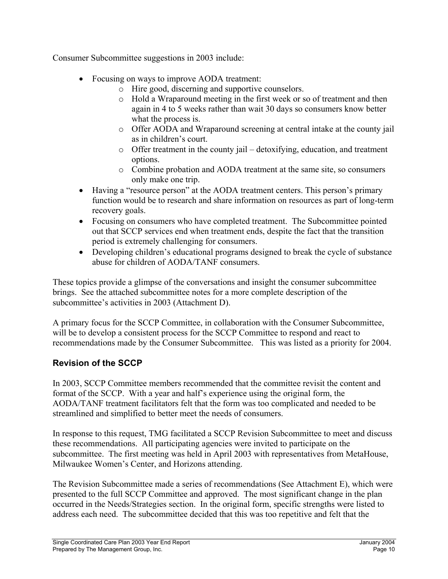Consumer Subcommittee suggestions in 2003 include:

- Focusing on ways to improve AODA treatment:
	- o Hire good, discerning and supportive counselors.
	- o Hold a Wraparound meeting in the first week or so of treatment and then again in 4 to 5 weeks rather than wait 30 days so consumers know better what the process is.
	- o Offer AODA and Wraparound screening at central intake at the county jail as in children's court.
	- o Offer treatment in the county jail detoxifying, education, and treatment options.
	- o Combine probation and AODA treatment at the same site, so consumers only make one trip.
- Having a "resource person" at the AODA treatment centers. This person's primary function would be to research and share information on resources as part of long-term recovery goals.
- Focusing on consumers who have completed treatment. The Subcommittee pointed out that SCCP services end when treatment ends, despite the fact that the transition period is extremely challenging for consumers.
- Developing children's educational programs designed to break the cycle of substance abuse for children of AODA/TANF consumers.

These topics provide a glimpse of the conversations and insight the consumer subcommittee brings. See the attached subcommittee notes for a more complete description of the subcommittee's activities in 2003 (Attachment D).

A primary focus for the SCCP Committee, in collaboration with the Consumer Subcommittee, will be to develop a consistent process for the SCCP Committee to respond and react to recommendations made by the Consumer Subcommittee. This was listed as a priority for 2004.

# **Revision of the SCCP**

In 2003, SCCP Committee members recommended that the committee revisit the content and format of the SCCP. With a year and half's experience using the original form, the AODA/TANF treatment facilitators felt that the form was too complicated and needed to be streamlined and simplified to better meet the needs of consumers.

In response to this request, TMG facilitated a SCCP Revision Subcommittee to meet and discuss these recommendations. All participating agencies were invited to participate on the subcommittee. The first meeting was held in April 2003 with representatives from MetaHouse, Milwaukee Women's Center, and Horizons attending.

The Revision Subcommittee made a series of recommendations (See Attachment E), which were presented to the full SCCP Committee and approved. The most significant change in the plan occurred in the Needs/Strategies section. In the original form, specific strengths were listed to address each need. The subcommittee decided that this was too repetitive and felt that the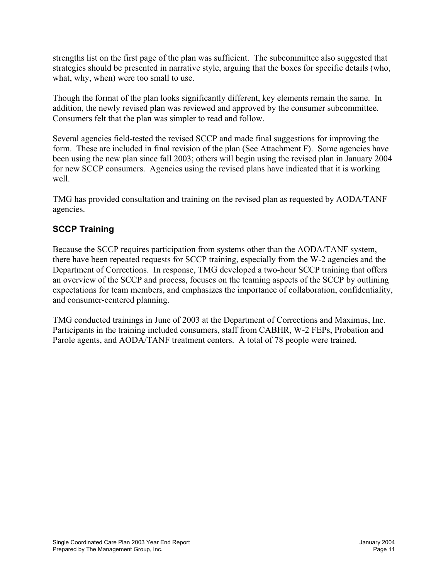strengths list on the first page of the plan was sufficient. The subcommittee also suggested that strategies should be presented in narrative style, arguing that the boxes for specific details (who, what, why, when) were too small to use.

Though the format of the plan looks significantly different, key elements remain the same. In addition, the newly revised plan was reviewed and approved by the consumer subcommittee. Consumers felt that the plan was simpler to read and follow.

Several agencies field-tested the revised SCCP and made final suggestions for improving the form. These are included in final revision of the plan (See Attachment F). Some agencies have been using the new plan since fall 2003; others will begin using the revised plan in January 2004 for new SCCP consumers. Agencies using the revised plans have indicated that it is working well.

TMG has provided consultation and training on the revised plan as requested by AODA/TANF agencies.

# **SCCP Training**

Because the SCCP requires participation from systems other than the AODA/TANF system, there have been repeated requests for SCCP training, especially from the W-2 agencies and the Department of Corrections. In response, TMG developed a two-hour SCCP training that offers an overview of the SCCP and process, focuses on the teaming aspects of the SCCP by outlining expectations for team members, and emphasizes the importance of collaboration, confidentiality, and consumer-centered planning.

TMG conducted trainings in June of 2003 at the Department of Corrections and Maximus, Inc. Participants in the training included consumers, staff from CABHR, W-2 FEPs, Probation and Parole agents, and AODA/TANF treatment centers. A total of 78 people were trained.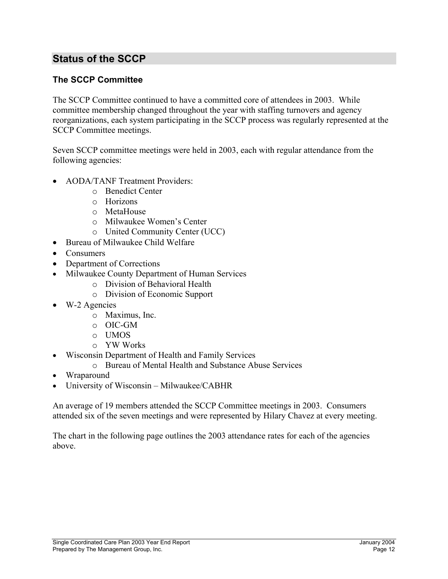# **Status of the SCCP**

# **The SCCP Committee**

The SCCP Committee continued to have a committed core of attendees in 2003. While committee membership changed throughout the year with staffing turnovers and agency reorganizations, each system participating in the SCCP process was regularly represented at the SCCP Committee meetings.

Seven SCCP committee meetings were held in 2003, each with regular attendance from the following agencies:

- AODA/TANF Treatment Providers:
	- o Benedict Center
	- o Horizons
	- o MetaHouse
	- o Milwaukee Women's Center
	- o United Community Center (UCC)
- Bureau of Milwaukee Child Welfare
- Consumers
- Department of Corrections
- Milwaukee County Department of Human Services
	- o Division of Behavioral Health
	- o Division of Economic Support
- W-2 Agencies
	- o Maximus, Inc.
	- o OIC-GM
	- o UMOS
	- o YW Works
- Wisconsin Department of Health and Family Services
	- o Bureau of Mental Health and Substance Abuse Services
- Wraparound
- University of Wisconsin Milwaukee/CABHR

An average of 19 members attended the SCCP Committee meetings in 2003. Consumers attended six of the seven meetings and were represented by Hilary Chavez at every meeting.

The chart in the following page outlines the 2003 attendance rates for each of the agencies above.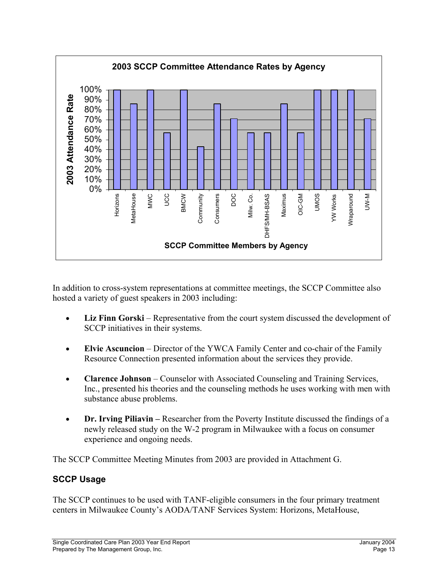

In addition to cross-system representations at committee meetings, the SCCP Committee also hosted a variety of guest speakers in 2003 including:

- **Liz Finn Gorski** Representative from the court system discussed the development of SCCP initiatives in their systems.
- **Elvie Ascuncion** Director of the YWCA Family Center and co-chair of the Family Resource Connection presented information about the services they provide.
- **Clarence Johnson** Counselor with Associated Counseling and Training Services, Inc., presented his theories and the counseling methods he uses working with men with substance abuse problems.
- **Dr. Irving Piliavin** Researcher from the Poverty Institute discussed the findings of a newly released study on the W-2 program in Milwaukee with a focus on consumer experience and ongoing needs.

The SCCP Committee Meeting Minutes from 2003 are provided in Attachment G.

# **SCCP Usage**

The SCCP continues to be used with TANF-eligible consumers in the four primary treatment centers in Milwaukee County's AODA/TANF Services System: Horizons, MetaHouse,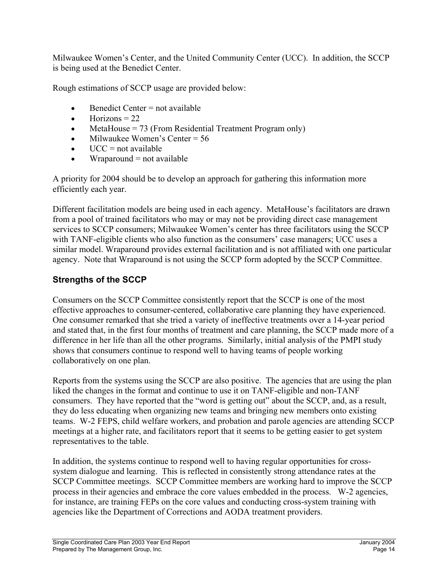Milwaukee Women's Center, and the United Community Center (UCC). In addition, the SCCP is being used at the Benedict Center.

Rough estimations of SCCP usage are provided below:

- $\bullet$  Benedict Center = not available
- $\bullet$  Horizons = 22
- MetaHouse  $= 73$  (From Residential Treatment Program only)
- Milwaukee Women's Center  $= 56$
- $\bullet$  UCC = not available
- Wraparound  $=$  not available

A priority for 2004 should be to develop an approach for gathering this information more efficiently each year.

Different facilitation models are being used in each agency. MetaHouse's facilitators are drawn from a pool of trained facilitators who may or may not be providing direct case management services to SCCP consumers; Milwaukee Women's center has three facilitators using the SCCP with TANF-eligible clients who also function as the consumers' case managers; UCC uses a similar model. Wraparound provides external facilitation and is not affiliated with one particular agency. Note that Wraparound is not using the SCCP form adopted by the SCCP Committee.

# **Strengths of the SCCP**

Consumers on the SCCP Committee consistently report that the SCCP is one of the most effective approaches to consumer-centered, collaborative care planning they have experienced. One consumer remarked that she tried a variety of ineffective treatments over a 14-year period and stated that, in the first four months of treatment and care planning, the SCCP made more of a difference in her life than all the other programs. Similarly, initial analysis of the PMPI study shows that consumers continue to respond well to having teams of people working collaboratively on one plan.

Reports from the systems using the SCCP are also positive. The agencies that are using the plan liked the changes in the format and continue to use it on TANF-eligible and non-TANF consumers. They have reported that the "word is getting out" about the SCCP, and, as a result, they do less educating when organizing new teams and bringing new members onto existing teams. W-2 FEPS, child welfare workers, and probation and parole agencies are attending SCCP meetings at a higher rate, and facilitators report that it seems to be getting easier to get system representatives to the table.

In addition, the systems continue to respond well to having regular opportunities for crosssystem dialogue and learning. This is reflected in consistently strong attendance rates at the SCCP Committee meetings. SCCP Committee members are working hard to improve the SCCP process in their agencies and embrace the core values embedded in the process. W-2 agencies, for instance, are training FEPs on the core values and conducting cross-system training with agencies like the Department of Corrections and AODA treatment providers.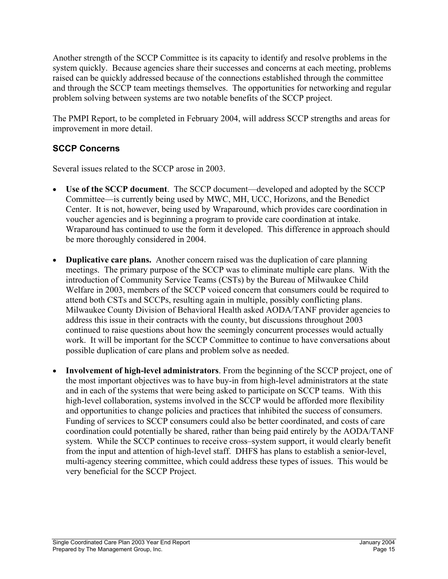Another strength of the SCCP Committee is its capacity to identify and resolve problems in the system quickly. Because agencies share their successes and concerns at each meeting, problems raised can be quickly addressed because of the connections established through the committee and through the SCCP team meetings themselves. The opportunities for networking and regular problem solving between systems are two notable benefits of the SCCP project.

The PMPI Report, to be completed in February 2004, will address SCCP strengths and areas for improvement in more detail.

# **SCCP Concerns**

Several issues related to the SCCP arose in 2003.

- **Use of the SCCP document**. The SCCP document—developed and adopted by the SCCP Committee—is currently being used by MWC, MH, UCC, Horizons, and the Benedict Center. It is not, however, being used by Wraparound, which provides care coordination in voucher agencies and is beginning a program to provide care coordination at intake. Wraparound has continued to use the form it developed. This difference in approach should be more thoroughly considered in 2004.
- **Duplicative care plans.** Another concern raised was the duplication of care planning meetings. The primary purpose of the SCCP was to eliminate multiple care plans. With the introduction of Community Service Teams (CSTs) by the Bureau of Milwaukee Child Welfare in 2003, members of the SCCP voiced concern that consumers could be required to attend both CSTs and SCCPs, resulting again in multiple, possibly conflicting plans. Milwaukee County Division of Behavioral Health asked AODA/TANF provider agencies to address this issue in their contracts with the county, but discussions throughout 2003 continued to raise questions about how the seemingly concurrent processes would actually work. It will be important for the SCCP Committee to continue to have conversations about possible duplication of care plans and problem solve as needed.
- **Involvement of high-level administrators**. From the beginning of the SCCP project, one of the most important objectives was to have buy-in from high-level administrators at the state and in each of the systems that were being asked to participate on SCCP teams. With this high-level collaboration, systems involved in the SCCP would be afforded more flexibility and opportunities to change policies and practices that inhibited the success of consumers. Funding of services to SCCP consumers could also be better coordinated, and costs of care coordination could potentially be shared, rather than being paid entirely by the AODA/TANF system. While the SCCP continues to receive cross–system support, it would clearly benefit from the input and attention of high-level staff. DHFS has plans to establish a senior-level, multi-agency steering committee, which could address these types of issues. This would be very beneficial for the SCCP Project.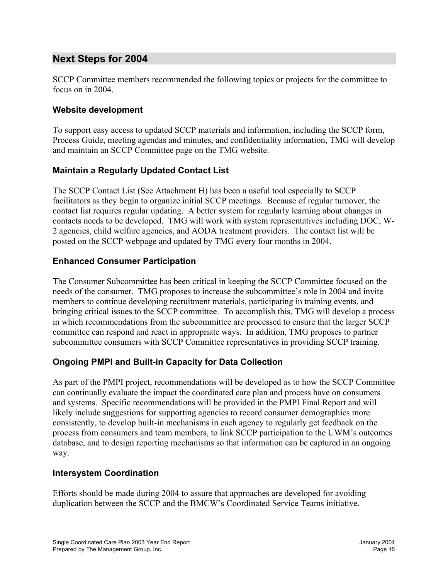# **Next Steps for 2004**

SCCP Committee members recommended the following topics or projects for the committee to focus on in 2004.

#### **Website development**

To support easy access to updated SCCP materials and information, including the SCCP form, Process Guide, meeting agendas and minutes, and confidentiality information, TMG will develop and maintain an SCCP Committee page on the TMG website.

#### **Maintain a Regularly Updated Contact List**

The SCCP Contact List (See Attachment H) has been a useful tool especially to SCCP facilitators as they begin to organize initial SCCP meetings. Because of regular turnover, the contact list requires regular updating. A better system for regularly learning about changes in contacts needs to be developed. TMG will work with system representatives including DOC, W-2 agencies, child welfare agencies, and AODA treatment providers. The contact list will be posted on the SCCP webpage and updated by TMG every four months in 2004.

#### **Enhanced Consumer Participation**

The Consumer Subcommittee has been critical in keeping the SCCP Committee focused on the needs of the consumer. TMG proposes to increase the subcommittee's role in 2004 and invite members to continue developing recruitment materials, participating in training events, and bringing critical issues to the SCCP committee. To accomplish this, TMG will develop a process in which recommendations from the subcommittee are processed to ensure that the larger SCCP committee can respond and react in appropriate ways. In addition, TMG proposes to partner subcommittee consumers with SCCP Committee representatives in providing SCCP training.

# **Ongoing PMPI and Built-in Capacity for Data Collection**

As part of the PMPI project, recommendations will be developed as to how the SCCP Committee can continually evaluate the impact the coordinated care plan and process have on consumers and systems. Specific recommendations will be provided in the PMPI Final Report and will likely include suggestions for supporting agencies to record consumer demographics more consistently, to develop built-in mechanisms in each agency to regularly get feedback on the process from consumers and team members, to link SCCP participation to the UWM's outcomes database, and to design reporting mechanisms so that information can be captured in an ongoing way.

#### **Intersystem Coordination**

Efforts should be made during 2004 to assure that approaches are developed for avoiding duplication between the SCCP and the BMCW's Coordinated Service Teams initiative.